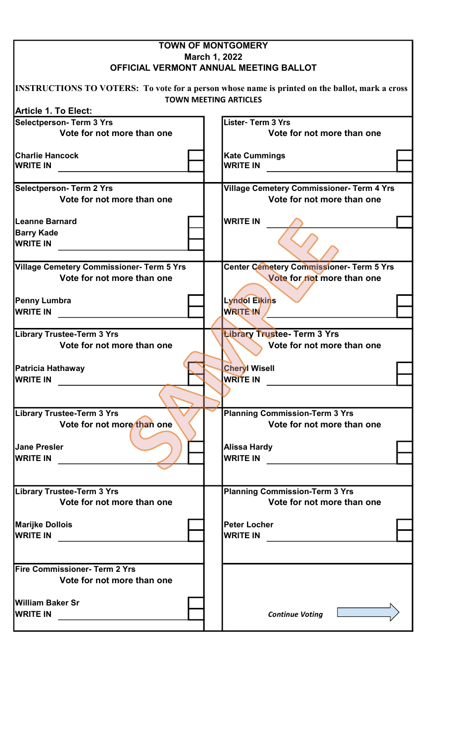|                                                                                | <b>TOWN OF MONTGOMERY</b>                                                                                                      |
|--------------------------------------------------------------------------------|--------------------------------------------------------------------------------------------------------------------------------|
|                                                                                | March 1, 2022<br>OFFICIAL VERMONT ANNUAL MEETING BALLOT                                                                        |
|                                                                                | INSTRUCTIONS TO VOTERS: To vote for a person whose name is printed on the ballot, mark a cross<br><b>TOWN MEETING ARTICLES</b> |
| <b>Article 1. To Elect:</b>                                                    |                                                                                                                                |
| <b>Selectperson- Term 3 Yrs</b><br>Vote for not more than one                  | <b>Lister-Term 3 Yrs</b><br>Vote for not more than one                                                                         |
| <b>Charlie Hancock</b>                                                         | <b>Kate Cummings</b>                                                                                                           |
| <b>WRITE IN</b>                                                                | <b>WRITE IN</b>                                                                                                                |
| <b>Selectperson- Term 2 Yrs</b><br>Vote for not more than one                  | <b>Village Cemetery Commissioner- Term 4 Yrs</b><br>Vote for not more than one                                                 |
| <b>Leanne Barnard</b>                                                          | <b>WRITE IN</b>                                                                                                                |
| <b>Barry Kade</b><br><b>WRITE IN</b>                                           |                                                                                                                                |
| <b>Village Cemetery Commissioner- Term 5 Yrs</b><br>Vote for not more than one | Center Cemetery Commissioner- Term 5 Yrs<br>Vote for not more than one                                                         |
| <b>Penny Lumbra</b>                                                            | Lyndol Elkins                                                                                                                  |
| <b>WRITE IN</b>                                                                | <b>WRITE IN</b>                                                                                                                |
|                                                                                |                                                                                                                                |
| Library Trustee-Term 3 Yrs<br>Vote for not more than one                       | Library Trustee- Term 3 Yrs<br>Vote for not more than one                                                                      |
| Patricia Hathaway                                                              | <b>Cheryl Wisell</b>                                                                                                           |
| <b>IWRITE IN</b>                                                               | <b>WRITE IN</b>                                                                                                                |
| <b>Library Trustee-Term 3 Yrs</b>                                              |                                                                                                                                |
| Vote for not more than one                                                     | <b>Planning Commission-Term 3 Yrs</b><br>Vote for not more than one                                                            |
| <b>Jane Presler</b>                                                            | <b>Alissa Hardy</b>                                                                                                            |
| <b>WRITE IN</b>                                                                | <b>WRITE IN</b>                                                                                                                |
|                                                                                |                                                                                                                                |
| <b>Library Trustee-Term 3 Yrs</b><br>Vote for not more than one                | <b>Planning Commission-Term 3 Yrs</b><br>Vote for not more than one                                                            |
| <b>Marijke Dollois</b>                                                         | <b>Peter Locher</b>                                                                                                            |
| <b>WRITE IN</b>                                                                | <b>WRITE IN</b>                                                                                                                |
|                                                                                |                                                                                                                                |
| Fire Commissioner- Term 2 Yrs                                                  |                                                                                                                                |
| Vote for not more than one                                                     |                                                                                                                                |
| William Baker Sr<br><b>WRITE IN</b>                                            | <b>Continue Voting</b>                                                                                                         |